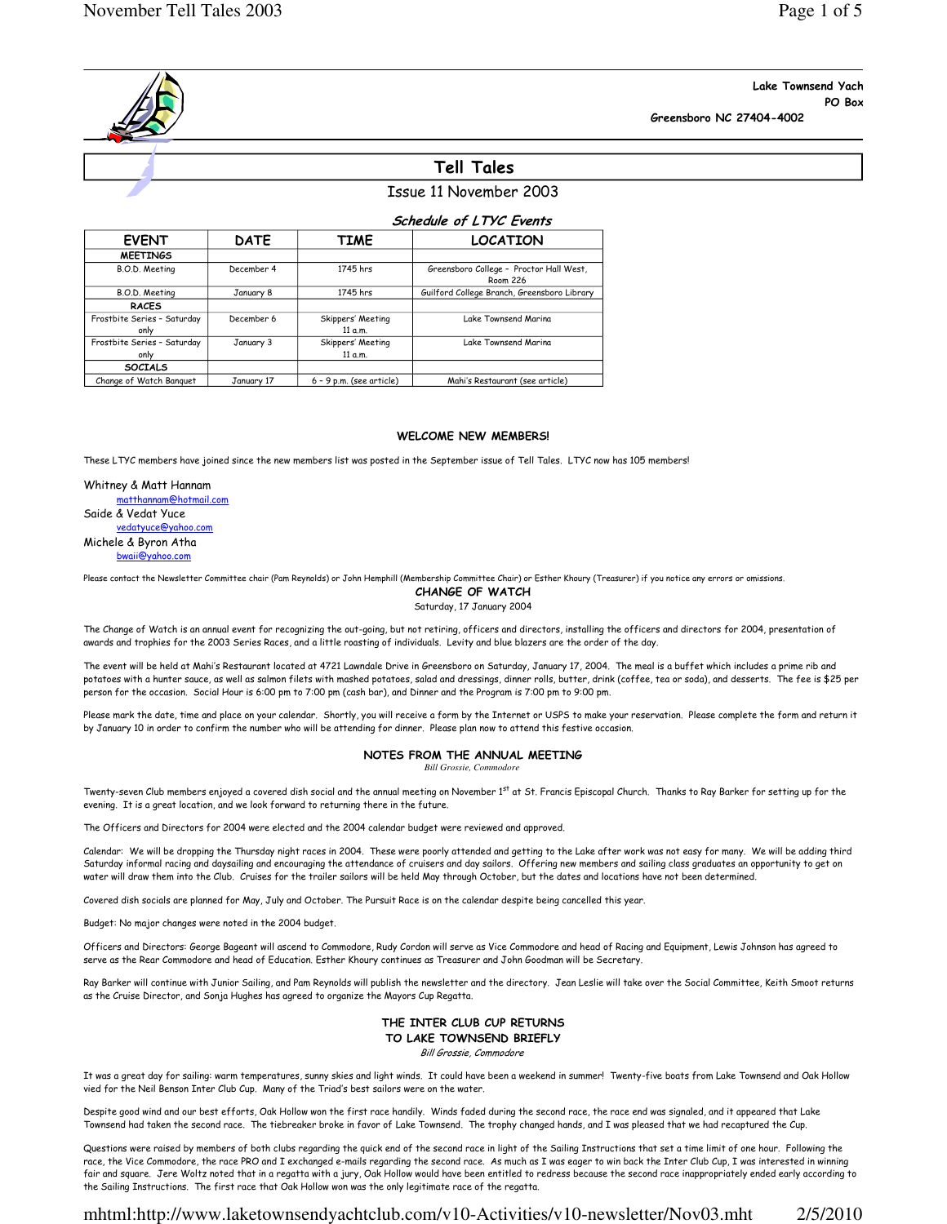### Lake Townsend Yach PO Box Greensboro NC 27404-4002

# Tell Tales

# Issue 11 November 2003

|                                     | <b>Schedule of LTYC Events</b> |                              |                                                            |  |  |
|-------------------------------------|--------------------------------|------------------------------|------------------------------------------------------------|--|--|
| <b>EVENT</b>                        | <b>DATE</b>                    | TIME                         | <b>LOCATION</b>                                            |  |  |
| <b>MEETINGS</b>                     |                                |                              |                                                            |  |  |
| B.O.D. Meeting                      | December 4                     | 1745 hrs                     | Greensboro College - Proctor Hall West,<br><b>Room 226</b> |  |  |
| B.O.D. Meeting                      | January 8                      | 1745 hrs                     | Guilford College Branch, Greensboro Library                |  |  |
| <b>RACES</b>                        |                                |                              |                                                            |  |  |
| Frostbite Series - Saturday<br>only | December 6                     | Skippers' Meeting<br>11 a.m. | Lake Townsend Marina                                       |  |  |
| Frostbite Series - Saturday<br>only | January 3                      | Skippers' Meeting<br>11 a.m. | Lake Townsend Marina                                       |  |  |
| <b>SOCIALS</b>                      |                                |                              |                                                            |  |  |
| Change of Watch Banguet             | January 17                     | $6 - 9$ p.m. (see article)   | Mahi's Restaurant (see article)                            |  |  |

#### WELCOME NEW MEMBERS!

These LTYC members have joined since the new members list was posted in the September issue of Tell Tales. LTYC now has 105 members!

Whitney & Matt Hannam matthannam@hotmail.com Saide & Vedat Yuce vedatyuce@yahoo.com Michele & Byron Atha bwaii@yahoo.com

Please contact the Newsletter Committee chair (Pam Reynolds) or John Hemphill (Membership Committee Chair) or Esther Khoury (Treasurer) if you notice any errors or omissions.

CHANGE OF WATCH Saturday, 17 January 2004

The Change of Watch is an annual event for recognizing the out-going, but not retiring, officers and directors, installing the officers and directors for 2004, presentation of awards and trophies for the 2003 Series Races, and a little roasting of individuals. Levity and blue blazers are the order of the day.

The event will be held at Mahi's Restaurant located at 4721 Lawndale Drive in Greensboro on Saturday, January 17, 2004. The meal is a buffet which includes a prime rib and potatoes with a hunter sauce, as well as salmon filets with mashed potatoes, salad and dressings, dinner rolls, butter, drink (coffee, tea or soda), and desserts. The fee is \$25 per person for the occasion. Social Hour is 6:00 pm to 7:00 pm (cash bar), and Dinner and the Program is 7:00 pm to 9:00 pm.

Please mark the date, time and place on your calendar. Shortly, you will receive a form by the Internet or USPS to make your reservation. Please complete the form and return it by January 10 in order to confirm the number who will be attending for dinner. Please plan now to attend this festive occasion.

### NOTES FROM THE ANNUAL MEETING

*Bill Grossie, Commodore*

Twenty-seven Club members enjoyed a covered dish social and the annual meeting on November 1st at St. Francis Episcopal Church. Thanks to Ray Barker for setting up for the evening. It is a great location, and we look forward to returning there in the future.

The Officers and Directors for 2004 were elected and the 2004 calendar budget were reviewed and approved.

Calendar: We will be dropping the Thursday night races in 2004. These were poorly attended and getting to the Lake after work was not easy for many. We will be adding third Saturday informal racing and daysailing and encouraging the attendance of cruisers and day sailors. Offering new members and sailing class graduates an opportunity to get on water will draw them into the Club. Cruises for the trailer sailors will be held May through October, but the dates and locations have not been determined.

Covered dish socials are planned for May, July and October. The Pursuit Race is on the calendar despite being cancelled this year.

Budget: No major changes were noted in the 2004 budget.

Officers and Directors: George Bageant will ascend to Commodore, Rudy Cordon will serve as Vice Commodore and head of Racing and Equipment, Lewis Johnson has agreed to serve as the Rear Commodore and head of Education. Esther Khoury continues as Treasurer and John Goodman will be Secretary.

Ray Barker will continue with Junior Sailing, and Pam Reynolds will publish the newsletter and the directory. Jean Leslie will take over the Social Committee, Keith Smoot returns as the Cruise Director, and Sonja Hughes has agreed to organize the Mayors Cup Regatta.

# THE INTER CLUB CUP RETURNS TO LAKE TOWNSEND BRIEFLY

Bill Grossie, Commodore

It was a great day for sailing: warm temperatures, sunny skies and light winds. It could have been a weekend in summer! Twenty-five boats from Lake Townsend and Oak Hollow vied for the Neil Benson Inter Club Cup. Many of the Triad's best sailors were on the water.

Despite good wind and our best efforts, Oak Hollow won the first race handily. Winds faded during the second race, the race end was signaled, and it appeared that Lake Townsend had taken the second race. The tiebreaker broke in favor of Lake Townsend. The trophy changed hands, and I was pleased that we had recaptured the Cup.

Questions were raised by members of both clubs regarding the quick end of the second race in light of the Sailing Instructions that set a time limit of one hour. Following the race, the Vice Commodore, the race PRO and I exchanged e-mails regarding the second race. As much as I was eager to win back the Inter Club Cup, I was interested in winning fair and square. Jere Woltz noted that in a regatta with a jury, Oak Hollow would have been entitled to redress because the second race inappropriately ended early according to the Sailing Instructions. The first race that Oak Hollow won was the only legitimate race of the regatta.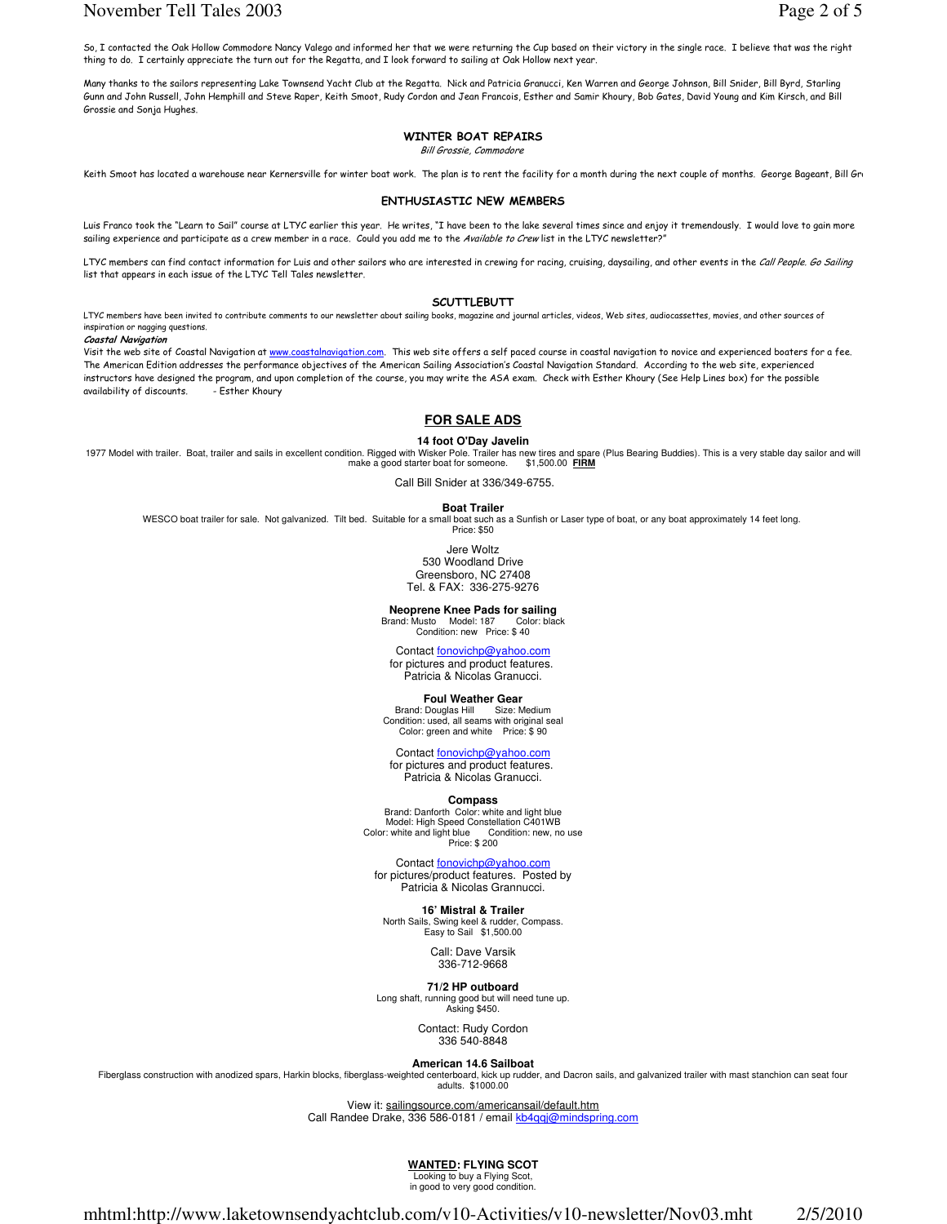### November Tell Tales 2003 Page 2 of 5

So, I contacted the Oak Hollow Commodore Nancy Valego and informed her that we were returning the Cup based on their victory in the single race. I believe that was the right thing to do. I certainly appreciate the turn out for the Regatta, and I look forward to sailing at Oak Hollow next year.

Many thanks to the sailors representing Lake Townsend Yacht Club at the Regatta. Nick and Patricia Granucci, Ken Warren and George Johnson, Bill Snider, Bill Byrd, Starling Gunn and John Russell, John Hemphill and Steve Raper, Keith Smoot, Rudy Cordon and Jean Francois, Esther and Samir Khoury, Bob Gates, David Young and Kim Kirsch, and Bill Grossie and Sonja Hughes.

### WINTER BOAT REPAIRS

Bill Grossie, Commodore

Keith Smoot has located a warehouse near Kernersville for winter boat work. The plan is to rent the facility for a month during the next couple of months. George Bageant, Bill Gro

#### ENTHUSIASTIC NEW MEMBERS

Luis Franco took the "Learn to Sail" course at LTYC earlier this year. He writes, "I have been to the lake several times since and enjoy it tremendously. I would love to gain more sailing experience and participate as a crew member in a race. Could you add me to the Available to Crew list in the LTYC newsletter?'

LTYC members can find contact information for Luis and other sailors who are interested in crewing for racing, cruising, daysailing, and other events in the Call People. Go Sailing list that appears in each issue of the LTYC Tell Tales newsletter.

#### **SCUTTLEBUTT**

LTYC members have been invited to contribute comments to our newsletter about sailing books, magazine and journal articles, videos, Web sites, audiocassettes, movies, and other sources of inspiration or nagging questions.

Coastal Navigation

Visit the web site of Coastal Navigation at www.coastalnavigation.com. This web site offers a self paced course in coastal navigation to novice and experienced boaters for a fee. The American Edition addresses the performance objectives of the American Sailing Association's Coastal Navigation Standard. According to the web site, experienced instructors have designed the program, and upon completion of the course, you may write the ASA exam. Check with Esther Khoury (See Help Lines box) for the possible availability of discounts. - Esther Khoury (- ether Shour availability of discounts.

### **FOR SALE ADS**

#### **14 foot O'Day Javelin**

1977 Model with trailer. Boat, trailer and sails in excellent condition. Rigged with Wisker Pole. Trailer has new tires and spare (Plus Bearing Buddies). This is a very stable day sailor and will<br>make a good starter boat f make a good starter boat for someone.

Call Bill Snider at 336/349-6755.

**Boat Trailer** WESCO boat trailer for sale. Not galvanized. Tilt bed. Suitable for a small boat such as a Sunfish or Laser type of boat, or any boat approximately 14 feet long. Price: \$50

> Jere Woltz 530 Woodland Drive Greensboro, NC 27408 Tel. & FAX: 336-275-9276

**Neoprene Knee Pads for sailing**<br>
Frand: Musto Model: 187 Color: black Brand: Musto Model: 187 Color: black Condition: new Price: \$ 40

Contact fonovichp@yahoo.com for pictures and product features. Patricia & Nicolas Granucci.

#### **Foul Weather Gear**

Brand: Douglas Hill Size: Medium Condition: used, all seams with original seal Color: green and white Price: \$ 90

#### Contact fonovichp@yahoo.com

for pictures and product features. Patricia & Nicolas Granucci.

#### **Compass**

Brand: Danforth Color: white and light blue Model: High Speed Constellation C401WB<br>r: white and light blue Condition: new, no use Color: white and light blue Price: \$ 200

#### Contact fonovichp@yahoo.com

for pictures/product features. Posted by Patricia & Nicolas Grannucci.

# **16' Mistral & Trailer**

North Sails, Swing keel & rudder, Compass. Easy to Sail \$1,500.00

Call: Dave Varsik 336-712-9668

**71/2 HP outboard**

Long shaft, running good but will need tune up. Asking \$450.

Contact: Rudy Cordon 336 540-8848

#### **American 14.6 Sailboat**

Fiberglass construction with anodized spars, Harkin blocks, fiberglass-weighted centerboard, kick up rudder, and Dacron sails, and galvanized trailer with mast stanchion can seat four adults. \$1000.00

> View it: sailingsource.com/americansail/default.htm Call Randee Drake, 336 586-0181 / email kb4qqj@mindspring.com

> > **WANTED: FLYING SCOT**

Looking to buy a Flying Scot, in good to very good condition.

mhtml:http://www.laketownsendyachtclub.com/v10-Activities/v10-newsletter/Nov03.mht 2/5/2010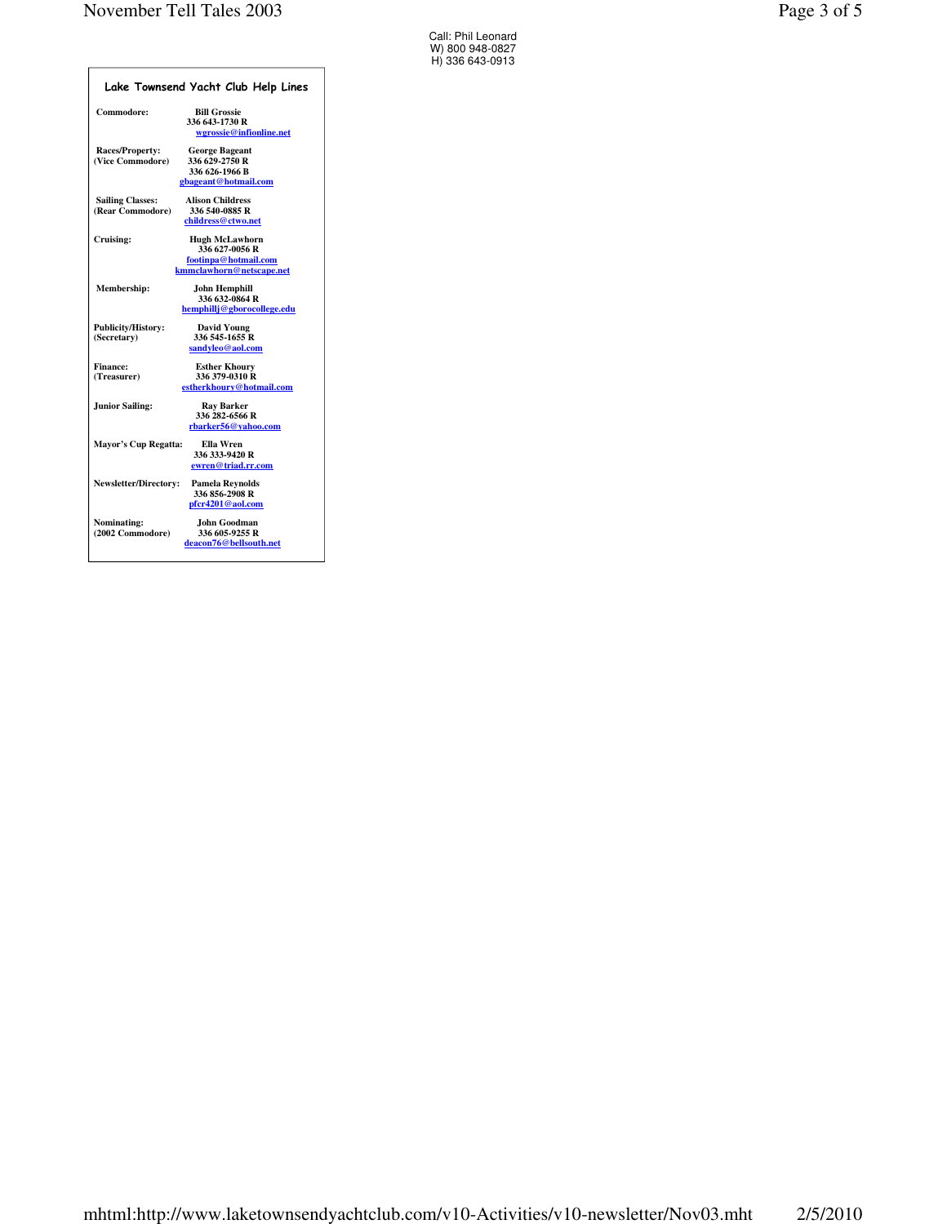| Lake Townsend Yacht Club Help Lines         |                                                                                             |  |  |  |
|---------------------------------------------|---------------------------------------------------------------------------------------------|--|--|--|
| Commodore:                                  | <b>Bill Grossie</b><br>336 643-1730 R<br>wgrossie@infionline.net                            |  |  |  |
| <b>Races/Property:</b><br>(Vice Commodore)  | <b>George Bageant</b><br>336 629-2750 R<br>336 626-1966 B<br>gbageant@hotmail.com           |  |  |  |
| <b>Sailing Classes:</b><br>(Rear Commodore) | <b>Alison Childress</b><br>336 540-0885 R<br>childress@ctwo.net                             |  |  |  |
| Cruising:                                   | <b>Hugh McLawhorn</b><br>336 627-0056 R<br>footinpa@hotmail.com<br>kmmclawhorn@netscape.net |  |  |  |
| Membership:                                 | <b>John Hemphill</b><br>336 632-0864 R<br>hemphilli@gborocollege.edu                        |  |  |  |
| <b>Publicity/History:</b><br>(Secretary)    | <b>David Young</b><br>336 545-1655 R<br>sandvleo@aol.com                                    |  |  |  |
| <b>Finance:</b><br>(Treasurer)              | <b>Esther Khoury</b><br>336 379-0310 R<br>estherkhoury@hotmail.com                          |  |  |  |
| <b>Junior Sailing:</b>                      | <b>Ray Barker</b><br>336 282-6566 R<br>rbarker56@vahoo.com                                  |  |  |  |
| <b>Mayor's Cup Regatta:</b>                 | Ella Wren<br>336 333-9420 R<br>ewren@triad.rr.com                                           |  |  |  |
| <b>Newsletter/Directory:</b>                | <b>Pamela Reynolds</b><br>336 856-2908 R<br>pfcr4201@aol.com                                |  |  |  |
| Nominating:<br>(2002 Commodore)             | John Goodman<br>336 605-9255 R<br>deacon76@bellsouth.net                                    |  |  |  |

Call: Phil Leonard W) 800 948-0827 H) 336 643-0913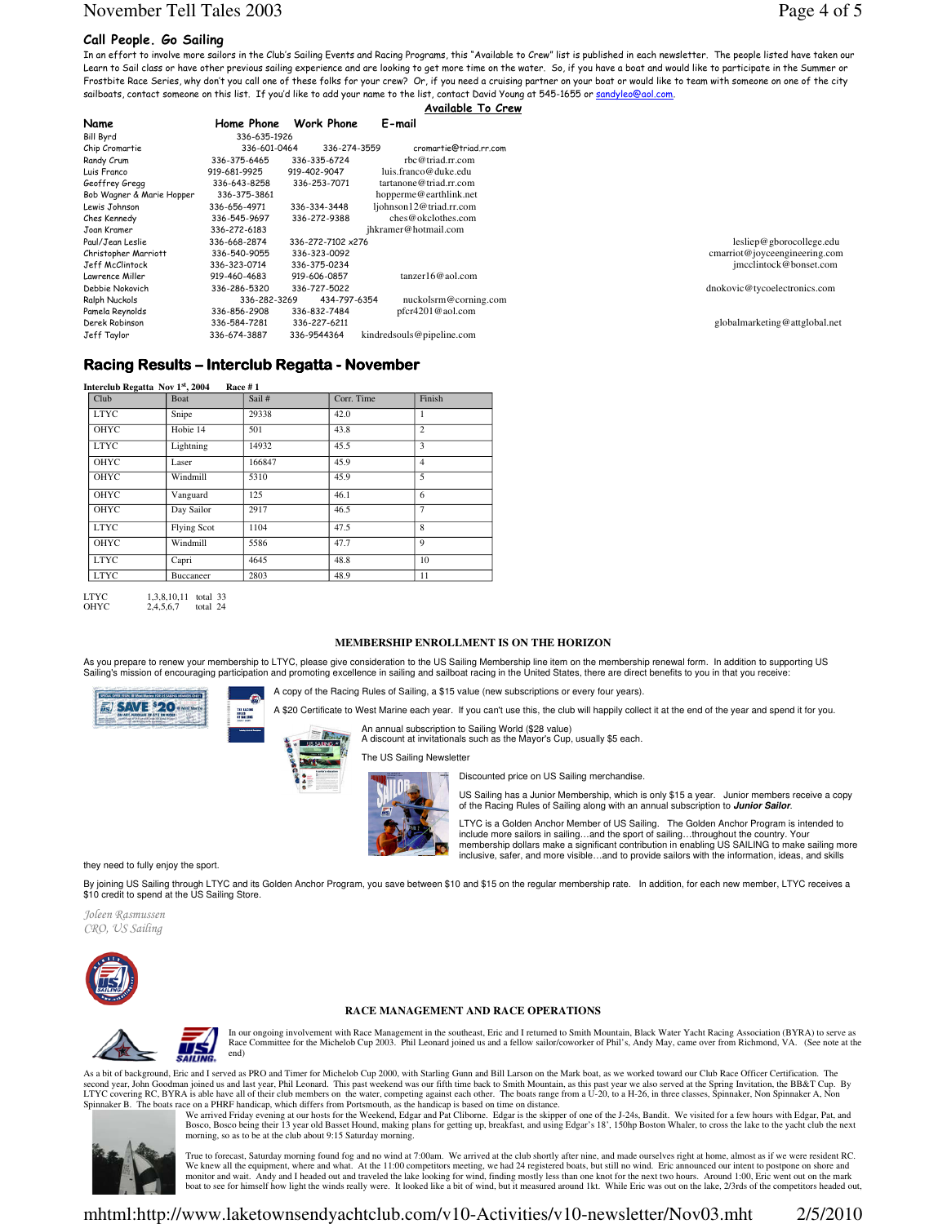# November Tell Tales 2003 Page 4 of 5

### Call People. Go Sailing

In an effort to involve more sailors in the Club's Sailing Events and Racing Programs, this "Available to Crew" list is published in each newsletter. The people listed have taken our Learn to Sail class or have other previous sailing experience and are looking to get more time on the water. So, if you have a boat and would like to participate in the Summer or Frostbite Race Series, why don't you call one of these folks for your crew? Or, if you need a cruising partner on your boat or would like to team with someone on one of the city sailboats, contact someone on this list. If you'd like to add your name to the list, contact David Young at 545-1655 or sandyleo@aol.com. Available To Crew

| Name                      | Home Phone   | <b>Work Phone</b> | E-mail                    |
|---------------------------|--------------|-------------------|---------------------------|
| <b>Bill Byrd</b>          | 336-635-1926 |                   |                           |
| Chip Cromartie            | 336-601-0464 | 336-274-3559      | cromartie@triad.rr.com    |
| Randy Crum                | 336-375-6465 | 336-335-6724      | rbc@triad.rr.com          |
| Luis Franco               | 919-681-9925 | 919-402-9047      | luis.franco@duke.edu      |
| Geoffrey Grega            | 336-643-8258 | 336-253-7071      | tartanone@triad.rr.com    |
| Bob Wagner & Marie Hopper | 336-375-3861 |                   | hopperme@earthlink.net    |
| Lewis Johnson             | 336-656-4971 | 336-334-3448      | ljohnson12@triad.rr.com   |
| Ches Kennedy              | 336-545-9697 | 336-272-9388      | ches@okclothes.com        |
| Joan Kramer               | 336-272-6183 |                   | jhkramer@hotmail.com      |
| Paul/Jean Leslie          | 336-668-2874 | 336-272-7102 x276 |                           |
| Christopher Marriott      | 336-540-9055 | 336-323-0092      |                           |
| Jeff McClintock           | 336-323-0714 | 336-375-0234      |                           |
| Lawrence Miller           | 919-460-4683 | 919-606-0857      | $tanzer16@$ aol.com       |
| Debbie Nokovich           | 336-286-5320 | 336-727-5022      |                           |
| Ralph Nuckols             | 336-282-3269 | 434-797-6354      | nuckolsrm@corning.com     |
| Pamela Reynolds           | 336-856-2908 | 336-832-7484      | pfcr4201@aol.com          |
| Derek Robinson            | 336-584-7281 | 336-227-6211      |                           |
| Jeff Taylor               | 336-674-3887 | 336-9544364       | kindredsouls@pipeline.com |
|                           |              |                   |                           |

### Racing Results – Interclub Regatta - November

| Interclub Regatta Nov 1st, 2004<br>Race $#1$ |                    |        |            |                |  |  |  |
|----------------------------------------------|--------------------|--------|------------|----------------|--|--|--|
| Club                                         | Boat               | Sail # | Corr. Time | Finish         |  |  |  |
| <b>LTYC</b>                                  | Snipe              | 29338  | 42.0       | 1              |  |  |  |
| OHYC                                         | Hobie 14           | 501    | 43.8       | $\overline{2}$ |  |  |  |
| <b>LTYC</b>                                  | Lightning          | 14932  | 45.5       | 3              |  |  |  |
| OHYC                                         | Laser              | 166847 | 45.9       | 4              |  |  |  |
| OHYC                                         | Windmill           | 5310   | 45.9       | 5              |  |  |  |
| OHYC                                         | Vanguard           | 125    | 46.1       | 6              |  |  |  |
| <b>OHYC</b>                                  | Day Sailor         | 2917   | 46.5       | 7              |  |  |  |
| <b>LTYC</b>                                  | <b>Flying Scot</b> | 1104   | 47.5       | 8              |  |  |  |
| OHYC                                         | Windmill           | 5586   | 47.7       | 9              |  |  |  |
| <b>LTYC</b>                                  | Capri              | 4645   | 48.8       | 10             |  |  |  |
| <b>LTYC</b>                                  | Buccaneer          | 2803   | 48.9       | 11             |  |  |  |

**LTYC** LTYC 1,3,8,10,11 total 33<br>OHYC 2.4.5.6.7 total 24  $2,4,5,6,7$  total 24

#### **MEMBERSHIP ENROLLMENT IS ON THE HORIZON**

As you prepare to renew your membership to LTYC, please give consideration to the US Sailing Membership line item on the membership renewal form. In addition to supporting US Sailing's mission of encouraging participation and promoting excellence in sailing and sailboat racing in the United States, there are direct benefits to you in that you receive

A copy of the Racing Rules of Sailing, a \$15 value (new subscriptions or every four years).





An annual subscription to Sailing World (\$28 value) A discount at invitationals such as the Mayor's Cup, usually \$5 each.

The US Sailing Newsletter



Discounted price on US Sailing merchandise.

US Sailing has a Junior Membership, which is only \$15 a year. Junior members receive a copy of the Racing Rules of Sailing along with an annual subscription to **Junior Sailor**.

LTYC is a Golden Anchor Member of US Sailing. The Golden Anchor Program is intended to<br>include more sailors in sailing…and the sport of sailing…throughout the country. Your<br>membership dollars make a significant contributio inclusive, safer, and more visible…and to provide sailors with the information, ideas, and skills

they need to fully enjoy the sport.

By joining US Sailing through LTYC and its Golden Anchor Program, you save between \$10 and \$15 on the regular membership rate. In addition, for each new member, LTYC receives a \$10 credit to spend at the US Sailing Store.

Joleen Rasmussen CRO, US Sailing



### **RACE MANAGEMENT AND RACE OPERATIONS**



In our ongoing involvement with Race Management in the southeast, Eric and I returned to Smith Mountain, Black Water Yacht Racing Association (BYRA) to serve as<br>Race Committee for the Michelob Cup 2003. Phil Leonard joined end)

As a bit of background, Eric and I served as PRO and Timer for Michelob Cup 2000, with Starling Gunn and Bill Larson on the Mark boat, as we worked toward our Club Race Officer Certification. The second year, John Goodman joined us and last year, Phil Leonard. This past weekend was our fifth time back to Smith Mountain, as this past year we also served at the Spring Invitation, the BB&T Cup. By<br>LTYC covering RC, BY Spinnaker B. The boats race on a PHRF handicap, which differs from Portsmouth, as the handicap is based on time on distance.<br>We arrived Friday evening at our hosts for the Weekend, Edgar and Pat Cliborne. Edgar is the skip

Bosco, Bosco being their 13 year old Basset Hound, making plans for getting up, breakfast, and using Edgar's 18', 150hp Boston Whaler, to cross the lake to the yacht club the next<br>morning, so as to be at the club about 9:1



.<br>True to forecast, Saturday morning found fog and no wind at 7:00am. We arrived at the club shortly after nine, and made ourselves right at home, almost as if we were resident RC.<br>We knew all the equipment, where and what monitor and wait. Andy and I headed out and traveled the lake looking for wind, finding mostly less than one knot for the next two hours. Around 1:00, Eric went out on the mark<br>boat to see for himself how light the winds r



lesliep@gborocollege.edu cmarriot@joyceengineering.com jmcclintock@bonset.com

dnokovic@tycoelectronics.com

globalmarketing@attglobal.net